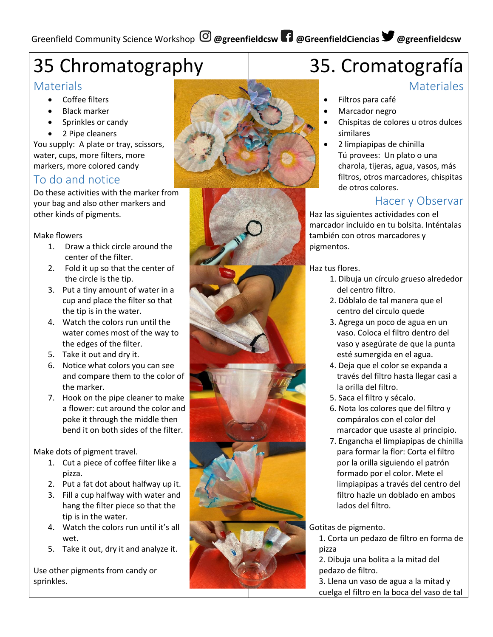## 35 Chromatography

#### **Materials**

- Coffee filters
- Black marker
- Sprinkles or candy
- 2 Pipe cleaners

You supply: A plate or tray, scissors, water, cups, more filters, more markers, more colored candy

#### To do and notice

Do these activities with the marker from your bag and also other markers and other kinds of pigments.

#### Make flowers

- 1. Draw a thick circle around the center of the filter.
- 2. Fold it up so that the center of the circle is the tip.
- 3. Put a tiny amount of water in a cup and place the filter so that the tip is in the water.
- 4. Watch the colors run until the water comes most of the way to the edges of the filter.
- 5. Take it out and dry it.
- 6. Notice what colors you can see and compare them to the color of the marker.
- 7. Hook on the pipe cleaner to make a flower: cut around the color and poke it through the middle then bend it on both sides of the filter.

Make dots of pigment travel.

- 1. Cut a piece of coffee filter like a pizza.
- 2. Put a fat dot about halfway up it.
- 3. Fill a cup halfway with water and hang the filter piece so that the tip is in the water.
- 4. Watch the colors run until it's all wet.
- 5. Take it out, dry it and analyze it.

Use other pigments from candy or sprinkles.





# 35. Cromatografía

#### **Materiales**

- Filtros para café
- Marcador negro
- Chispitas de colores u otros dulces similares
- 2 limpiapipas de chinilla Tú provees: Un plato o una charola, tijeras, agua, vasos, más filtros, otros marcadores, chispitas de otros colores.

### Hacer y Observar

Haz las siguientes actividades con el marcador incluido en tu bolsita. Inténtalas también con otros marcadores y pigmentos.

Haz tus flores.

- 1. Dibuja un círculo grueso alrededor del centro filtro.
- 2. Dóblalo de tal manera que el centro del círculo quede
- 3. Agrega un poco de agua en un vaso. Coloca el filtro dentro del vaso y asegúrate de que la punta esté sumergida en el agua.
- 4. Deja que el color se expanda a través del filtro hasta llegar casi a la orilla del filtro.
- 5. Saca el filtro y sécalo.
- 6. Nota los colores que del filtro y compáralos con el color del marcador que usaste al principio.
- 7. Engancha el limpiapipas de chinilla para formar la flor: Corta el filtro por la orilla siguiendo el patrón formado por el color. Mete el limpiapipas a través del centro del filtro hazle un doblado en ambos lados del filtro.

Gotitas de pigmento.

1. Corta un pedazo de filtro en forma de pizza

2. Dibuja una bolita a la mitad del pedazo de filtro.

3. Llena un vaso de agua a la mitad y cuelga el filtro en la boca del vaso de tal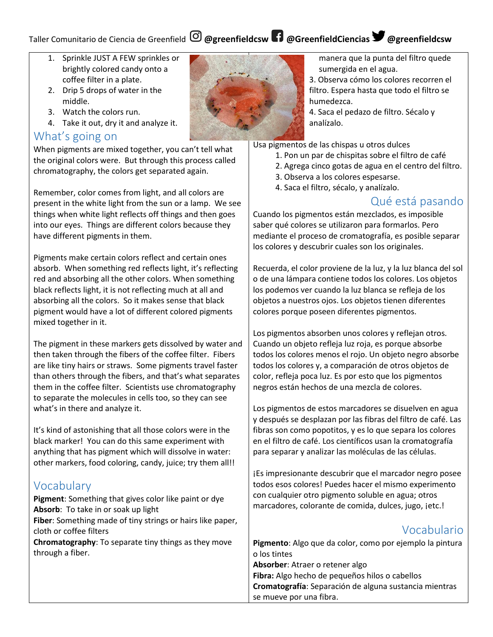## Taller Comunitario de Ciencia de Greenfield **@greenfieldcsw @GreenfieldCiencias @greenfieldcsw**

- 1. Sprinkle JUST A FEW sprinkles or brightly colored candy onto a coffee filter in a plate.
- 2. Drip 5 drops of water in the middle.
- 3. Watch the colors run.
- 4. Take it out, dry it and analyze it.

#### What's going on

When pigments are mixed together, you can't tell what the original colors were. But through this process called chromatography, the colors get separated again.

Remember, color comes from light, and all colors are present in the white light from the sun or a lamp. We see things when white light reflects off things and then goes into our eyes. Things are different colors because they have different pigments in them.

Pigments make certain colors reflect and certain ones absorb. When something red reflects light, it's reflecting red and absorbing all the other colors. When something black reflects light, it is not reflecting much at all and absorbing all the colors. So it makes sense that black pigment would have a lot of different colored pigments mixed together in it.

The pigment in these markers gets dissolved by water and then taken through the fibers of the coffee filter. Fibers are like tiny hairs or straws. Some pigments travel faster than others through the fibers, and that's what separates them in the coffee filter. Scientists use chromatography to separate the molecules in cells too, so they can see what's in there and analyze it.

It's kind of astonishing that all those colors were in the black marker! You can do this same experiment with anything that has pigment which will dissolve in water: other markers, food coloring, candy, juice; try them all!!

### Vocabulary

**Pigment**: Something that gives color like paint or dye **Absorb**: To take in or soak up light

**Fiber**: Something made of tiny strings or hairs like paper, cloth or coffee filters

**Chromatography**: To separate tiny things as they move through a fiber.



manera que la punta del filtro quede sumergida en el agua.

3. Observa cómo los colores recorren el filtro. Espera hasta que todo el filtro se humedezca.

4. Saca el pedazo de filtro. Sécalo y analízalo.

Usa pigmentos de las chispas u otros dulces

- 1. Pon un par de chispitas sobre el filtro de café
- 2. Agrega cinco gotas de agua en el centro del filtro.
- 3. Observa a los colores espesarse.
- 4. Saca el filtro, sécalo, y analízalo.

### Qué está pasando

Cuando los pigmentos están mezclados, es imposible saber qué colores se utilizaron para formarlos. Pero mediante el proceso de cromatografía, es posible separar los colores y descubrir cuales son los originales.

Recuerda, el color proviene de la luz, y la luz blanca del sol o de una lámpara contiene todos los colores. Los objetos los podemos ver cuando la luz blanca se refleja de los objetos a nuestros ojos. Los objetos tienen diferentes colores porque poseen diferentes pigmentos.

Los pigmentos absorben unos colores y reflejan otros. Cuando un objeto refleja luz roja, es porque absorbe todos los colores menos el rojo. Un objeto negro absorbe todos los colores y, a comparación de otros objetos de color, refleja poca luz. Es por esto que los pigmentos negros están hechos de una mezcla de colores.

Los pigmentos de estos marcadores se disuelven en agua y después se desplazan por las fibras del filtro de café. Las fibras son como popotitos, y es lo que separa los colores en el filtro de café. Los científicos usan la cromatografía para separar y analizar las moléculas de las células.

¡Es impresionante descubrir que el marcador negro posee todos esos colores! Puedes hacer el mismo experimento con cualquier otro pigmento soluble en agua; otros marcadores, colorante de comida, dulces, jugo, ¡etc.!

## Vocabulario

**Pigmento**: Algo que da color, como por ejemplo la pintura o los tintes **Absorber**: Atraer o retener algo **Fibra:** Algo hecho de pequeños hilos o cabellos **Cromatografía**: Separación de alguna sustancia mientras se mueve por una fibra.